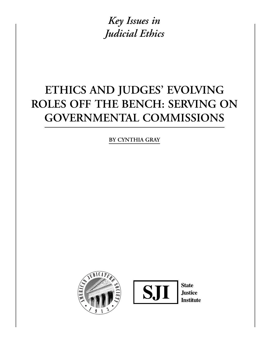*Key Issues in Judicial Ethics*

# **ETHICS AND JUDGES' EVOLVING ROLES OFF THE BENCH: SERVING ON GOVERNMENTAL COMMISSIONS**

**BY CYNTHIA GRAY**





**State Justice Institute**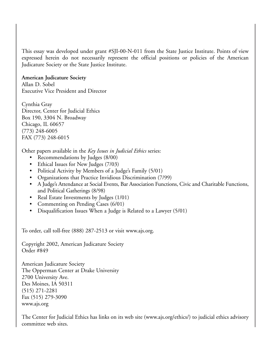This essay was developed under grant #SJI-00-N-011 from the State Justice Institute. Points of view expressed herein do not necessarily represent the official positions or policies of the American Judicature Society or the State Justice Institute.

**American Judicature Society** Allan D. Sobel

Executive Vice President and Director

Cynthia Gray Director, Center for Judicial Ethics Box 190, 3304 N. Broadway Chicago, IL 60657 (773) 248-6005 FAX (773) 248-6015

Other papers available in the *Key Issues in Judicial Ethics* series:

- Recommendations by Judges (8/00)
- Ethical Issues for New Judges (7/03)
- Political Activity by Members of a Judge's Family (5/01)
- Organizations that Practice Invidious Discrimination (7/99)
- A Judge's Attendance at Social Events, Bar Association Functions, Civic and Charitable Functions, and Political Gatherings (8/98)
- Real Estate Investments by Judges (1/01)
- Commenting on Pending Cases (6/01)
- Disqualification Issues When a Judge is Related to a Lawyer (5/01)

To order, call toll-free (888) 287-2513 or visit www.ajs.org.

Copyright 2002, American Judicature Society Order #849

American Judicature Society The Opperman Center at Drake University 2700 University Ave. Des Moines, IA 50311 (515) 271-2281 Fax (515) 279-3090 www.ajs.org

The Center for Judicial Ethics has links on its web site (www.ajs.org/ethics/) to judicial ethics advisory committee web sites.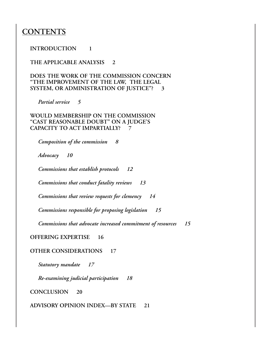### **CONTENTS**

#### **INTRODUCTION 1**

**THE APPLICABLE ANALYSIS 2**

**DOES THE WORK OF THE COMMISSION CONCERN "THE IMPROVEMENT OF THE LAW, THE LEGAL SYSTEM, OR ADMINISTRATION OF JUSTICE"? 3**

*Partial service 5*

**WOULD MEMBERSHIP ON THE COMMISSION "CAST REASONABLE DOUBT" ON A JUDGE'S CAPACITY TO ACT IMPARTIALLY? 7**

*Composition of the commission 8*

*Advocacy 10*

*Commissions that establish protocols 12*

*Commissions that conduct fatality reviews 13*

*Commissions that review requests for clemency 14*

*Commissions responsible for proposing legislation 15*

*Commissions that advocate increased commitment of resources 15*

**OFFERING EXPERTISE 16**

**OTHER CONSIDERATIONS 17**

*Statutory mandate 17*

*Re-examining judicial participation 18*

**CONCLUSION 20**

**ADVISORY OPINION INDEX—BY STATE 21**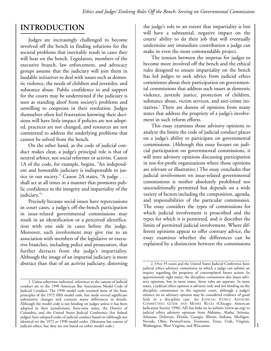### **INTRODUCTION**

Judges are increasingly challenged to become involved off the bench in finding solutions for the societal problems that inevitably result in cases they will hear on the bench. Legislators, members of the executive branch, law enforcement, and advocacy groups assume that the judiciary will join them in laudable initiatives to deal with issues such as domestic violence, the needs of children and juveniles, and substance abuse. Public confidence in and support for the courts may be undermined if the judiciary is seen as standing aloof from society's problems and unwilling to cooperate in their resolution. Judges themselves often feel frustration knowing their decisions will have little impact if policies are not adopted, practices are not changed, and resources are not committed to address the underlying problems that cannot be solved from the bench.

On the other hand, as the code of judicial conduct makes clear, a judge's principal role is that of neutral arbiter, not social reformer or activist. Canon 1A of the code, for example, begins, "An independent and honorable judiciary is indispensable to justice in our society." Canon 2A states, "A judge . . . shall act at all times in a manner that promotes public confidence in the integrity and impartiality of the judiciary."<sup>1</sup>

Precisely because social issues have repercussions in court cases, a judge's off-the-bench participation in issue-related governmental commissions may result in an identification or a perceived identification with one side in cases before the judge. Moreover, such involvement may give rise to an association with members of the legislative or executive branches, including police and prosecutors, that further detracts from the judge's impartiality. Although the image of an impartial judiciary is more abstract than that of an activist judiciary, distorting

the judge's role to an extent that impartiality is lost will have a substantial, negative impact on the courts' ability to do their job that will eventually undermine any immediate contribution a judge can make in even the most commendable project.

The tension between the impetus for judges to become more involved off the bench and the ethical rules designed to ensure impartiality on the bench has led judges to seek advice from judicial ethics committees about their participation on governmental commissions that address such issues as domestic violence, juvenile justice, protection of children, substance abuse, victim services, and anti-crime initiatives.2 There are dozens of opinions from many states that address the propriety of a judge's involvement in such reform efforts.

This essay examines those advisory opinions to analyze the limits the code of judicial conduct places on a judge's ability to participate on governmental commissions. (Although this essay focuses on judicial participation on governmental commissions, it will note advisory opinions discussing participation in not-for-profit organizations where those opinions are relevant or illustrative.) The essay concludes that judicial involvement on issue-related governmental commissions is neither absolutely prohibited nor unconditionally permitted but depends on a wide variety of factors including the composition, agenda, and responsibilities of the particular commission. The essay considers the types of commissions for which judicial involvement is proscribed and the types for which it is permitted, and it describes the limits of permitted judicial involvement. Where different opinions appear to offer contrary advice, the essay examines whether the differences can be explained by a distinction between the commissions

**1**

<sup>1.</sup> Unless otherwise indicated, references to the canons of judicial conduct are to the 1990 American Bar Association Model Code of Judicial Conduct. The 1990 model code retained most of the basic principles of the 1972 ABA model code, but made several significant substantive changes and contains many differences in details. Although the model code is not binding on judges unless it has been adopted in their jurisdictions, forty-nine states, the District of Columbia, and the United States Judicial Conference (for federal judges) have adopted codes of judicial conduct based on (although not identical to) the 1972 or 1990 model codes. (Montana has canons of judicial ethics, but they are not based on either model code.)

<sup>2.</sup> Over 35 states and the United States Judicial Conference have judicial ethics advisory committees to which a judge can submit an inquiry regarding the propriety of contemplated future action. In approximately eight states, the discipline commission also issues advisory opinions, but in most states, those roles are separate. In most states, a judicial ethics opinion is advisory only and not binding on the discipline commission or the supreme court, although a judge's reliance on an advisory opinion may be considered evidence of good faith in a discipline case. *See* JUDICIAL ETHICS ADVISORY COMMITTEES: GUIDE AND MODEL RULES (Chicago: American Judicature Society 1996). AJS has links on its website (www.ajs.org) to judicial ethics advisory opinions from Alabama, Alaska, Arizona, Arkansas, Delaware, Florida, Georgia, Illinois, Indiana, Michigan, Nevada, Ohio, Pennsylvania, Tennessee, Texas, Utah, Virginia, Washington, West Virginia, and Wisconsin.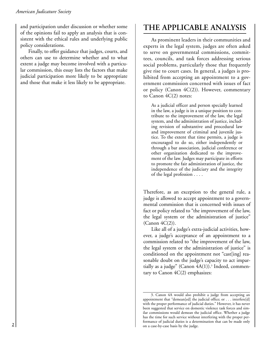and participation under discussion or whether some of the opinions fail to apply an analysis that is consistent with the ethical rules and underlying public policy considerations.

Finally, to offer guidance that judges, courts, and others can use to determine whether and to what extent a judge may become involved with a particular commission, this essay lists the factors that make judicial participation more likely to be appropriate and those that make it less likely to be appropriate.

### **THE APPLICABLE ANALYSIS**

As prominent leaders in their communities and experts in the legal system, judges are often asked to serve on governmental commissions, committees, councils, and task forces addressing serious social problems, particularly those that frequently give rise to court cases. In general, a judges is prohibited from accepting an appointment to a government commission concerned with issues of fact or policy (Canon 4C(2)). However, commentary to Canon 4C(2) notes:

As a judicial officer and person specially learned in the law, a judge is in a unique position to contribute to the improvement of the law, the legal system, and the administration of justice, including revision of substantive and procedural law and improvement of criminal and juvenile justice. To the extent that time permits, a judge is encouraged to do so, either independently or through a bar association, judicial conference or other organization dedicated to the improvement of the law. Judges may participate in efforts to promote the fair administration of justice, the independence of the judiciary and the integrity of the legal profession . . . .

Therefore, as an exception to the general rule, a judge is allowed to accept appointment to a governmental commission that is concerned with issues of fact or policy related to "the improvement of the law, the legal system or the administration of justice" (Canon 4C(2)).

Like all of a judge's extra-judicial activities, however, a judge's acceptance of an appointment to a commission related to "the improvement of the law, the legal system or the administration of justice" is conditioned on the appointment not "cast[ing] reasonable doubt on the judge's capacity to act impartially as a judge" (Canon  $4A(1)$ ).<sup>3</sup> Indeed, commentary to Canon 4C(2) emphasizes:

<sup>3.</sup> Canon 4A would also prohibit a judge from accepting an appointment that "demean[ed] the judicial office; or . . . interfere[d] with the proper performance of judicial duties." However, it has never been suggested that service on domestic violence task forces and similar commissions would demean the judicial office. Whether a judge has the time for such service without interfering with the proper performance of judicial duties is a determination that can be made only on a case-by-case basis by the judge.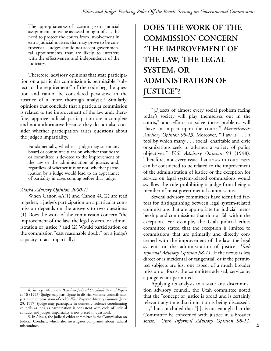The appropriateness of accepting extra-judicial assignments must be assessed in light of . . . the need to protect the courts from involvement in extra-judicial matters that may prove to be controversial. Judges should not accept governmental appointments that are likely to interfere with the effectiveness and independence of the judiciary.

Therefore, advisory opinions that state participation on a particular commission is permissible "subject to the requirements" of the code beg the question and cannot be considered persuasive in the absence of a more thorough analysis.<sup>4</sup> Similarly, opinions that conclude that a particular commission is related to the improvement of the law and, therefore, approve judicial participation are incomplete and not authoritative because they do not also consider whether participation raises questions about the judge's impartiality.

Fundamentally, whether a judge may sit on any board or committee turns on whether that board or committee is devoted to the improvement of the law or the administration of justice, and, regardless of whether it is or not, whether participation by a judge would lead to an appearance of partiality in cases coming before that judge.

#### *Alaska Advisory Opinion 2000-1*. 5

When Canon 4A(1) and Canon 4C(2) are read together, a judge's participation on a particular commission depends on the answers to two questions: (1) Does the work of the commission concern "the improvement of the law, the legal system, or administration of justice"? and (2) Would participation on the commission "cast reasonable doubt" on a judge's capacity to act impartially?

## **DOES THE WORK OF THE COMMISSION CONCERN "THE IMPROVEMENT OF THE LAW, THE LEGAL SYSTEM, OR ADMINISTRATION OF JUSTICE"?**

"[F]acets of almost every social problem facing today's society will play themselves out in the courts," and efforts to solve those problems will "have an impact upon the courts." *Massachusetts Advisory Opinion 98-13*. Moreover, "[l]aw is . . . a tool by which many . . . social, charitable and civic organizations seek to advance a variety of policy objectives." *U.S. Advisory Opinion 93* (1998). Therefore, not every issue that arises in court cases can be considered to be related to the improvement of the administration of justice or the exception for service on legal system-related commissions would swallow the rule prohibiting a judge from being a member of most governmental commissions.

Several advisory committees have identified factors for distinguishing between legal system-related commissions that are appropriate for judicial membership and commissions that do not fall within the exception. For example, the Utah judicial ethics committee stated that the exception is limited to commissions that are primarily and directly concerned with the improvement of the law, the legal system, or the administration of justice. *Utah Informal Advisory Opinion 98-11*. If the nexus is less direct or is incidental or tangential, or if the permitted subjects are just one aspect of a much broader mission or focus, the committee advised, service by a judge is not permitted.

Applying its analysis to a state anti-discrimination advisory council, the Utah committee noted that the "concept of justice is broad and is certainly relevant any time discrimination is being discussed . . . ," but concluded that "[i]t is not enough that the Committee be concerned with justice in a broader sense." *Utah Informal Advisory Opinion 98-11*.

<sup>4.</sup> *See, e.g., Minnesota Board on Judicial Standards Annual Report* at 10 (1993) (judge may participate in district violence councils subject to other provisions of code); *West Virginia Advisory Opinion* (June 23, 1997) (judge may participate in domestic violence coordinating councils as long as participation is consistent with code of judicial conduct and judge's impartiality is not placed in question).

<sup>5.</sup> In Alaska, the judicial ethics committee is the Commission on Judicial Conduct, which also investigates complaints about judicial misconduct.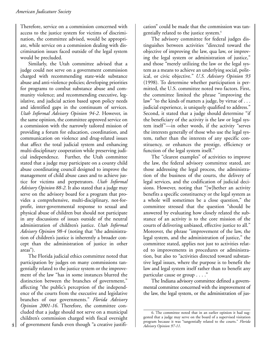Therefore, service on a commission concerned with access to the justice system for victims of discrimination, the committee advised, would be appropriate, while service on a commission dealing with discrimination issues faced outside of the legal system would be precluded.

Similarly, the Utah committee advised that a judge could not serve on a government commission charged with recommending state-wide substance abuse and anti-violence policies; developing priorities for programs to combat substance abuse and community violence; and recommending executive, legislative, and judicial action based upon policy needs and identified gaps in the continuum of services. *Utah Informal Advisory Opinion 94-2*. However, in the same opinion, the committee approved service on a commission with the narrowly tailored mission of providing a forum for education, coordination, and communication on violence and drug-related issues that affect the total judicial system and enhancing multi-disciplinary cooperation while preserving judicial independence. Further, the Utah committee stated that a judge may participate on a county child abuse coordinating council designed to improve the management of child abuse cases and to achieve justice for victims and perpetrators. *Utah Informal Advisory Opinion 88-2*. It also stated that a judge may serve on the advisory board for a program that provides a comprehensive, multi-disciplinary, not-forprofit, inter-governmental response to sexual and physical abuse of children but should not participate in any discussions of issues outside of the neutral administration of children's justice. *Utah Informal Advisory Opinion 98-4* (noting that "the administration of children's justice is inherently a broader concept than the administration of justice in other areas").

The Florida judicial ethics committee noted that participation by judges on many commissions tangentially related to the justice system or the improvement of the law "has in some instances blurred the distinction between the branches of government," affecting "the public's perception of the independence of the courts from the executive and legislative branches of our governments." *Florida Advisory Opinion 2001-16*. Therefore, the committee concluded that a judge should not serve on a municipal children's commission charged with fiscal oversight of government funds even though "a creative justifi-

**4**

cation" could be made that the commission was tangentially related to the justice system.<sup>6</sup>

The advisory committee for federal judges distinguishes between activities "directed toward the objective of improving the law, qua law, or improving the legal system or administration of justice," and those "merely utilizing the law or the legal system as a means to achieve an underlying social, political, or civic objective." *U.S. Advisory Opinion 93* (1998). To determine whether participation is permitted, the U.S. committee noted two factors. First, the committee limited the phrase "improving the law" "to the kinds of matters a judge, by virtue of . . . judicial experience, is uniquely qualified to address." Second, it stated that a judge should determine "if the beneficiary of the activity is the law or legal system itself"—in other words, if the activity "serves the interests generally of those who use the legal system, rather than the interests of any specific constituency, or enhances the prestige, efficiency or function of the legal system itself."

The "clearest examples" of activities to improve the law, the federal advisory committee stated, are those addressing the legal process, the administration of the business of the courts, the delivery of legal services, and the codification of judicial decisions. However, noting that "[w]hether an activity benefits a specific constituency or the legal system as a whole will sometimes be a close question," the committee stressed that the question "should be answered by evaluating how closely related the substance of an activity is to the core mission of the courts of delivering unbiased, effective justice to all." Moreover, the phrase "improvement of the law, the legal system, and the administration of justice," the committee stated, applies not just to activities related to improvements in procedures or administration, but also to "activities directed toward substantive legal issues, where the purpose is to benefit the law and legal system itself rather than to benefit any particular cause or group . . . ."

The Indiana advisory committee defined a governmental committee concerned with the improvement of the law, the legal system, or the administration of jus-

<sup>6.</sup> The committee noted that in an earlier opinion it had suggested that a judge may serve on the board of a supervised visitation program because it was "tangentially related to the courts." *Florida Advisory Opinion 97-11*.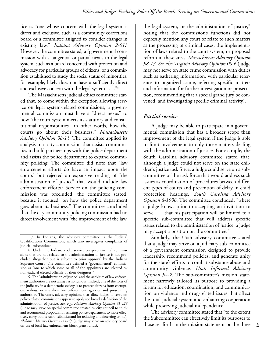tice as "one whose concern with the legal system is direct and exclusive, such as a community corrections board or a committee assigned to consider changes in existing law." *Indiana Advisory Opinion 2-01*. 7 However, the committee stated, a "governmental commission with a tangential or partial nexus to the legal system, such as a board concerned with protection and advocacy for particular groups of citizens, or a commission established to study the social status of minorities, for example, likely does not have a sufficiently direct and exclusive concern with the legal system . . . ."8

The Massachusetts judicial ethics committee stated that, to come within the exception allowing service on legal system-related commissions, a governmental commission must have a "direct nexus" to how "the court system meets its statutory and constitutional responsibilities—in other words, how the courts go about their business." *Massachusetts Advisory Opinion 98-13*. The committee applied its analysis to a city commission that assists communities to build partnerships with the police department and assists the police department to expand community policing. The committee did note that "law enforcement efforts do have an impact upon the courts" but rejected an expansive reading of "the administration of justice" that would include law enforcement efforts.<sup>9</sup> Service on the policing commission was precluded, the committee stated, because it focused "on how the police department goes about its business." The committee concluded that the city community policing commission had no direct involvement with "the improvement of the law,

9. The "administration of justice" and the activities of law enforcement authorities are not always synonymous. Indeed, one of the roles of the judiciary in a democratic society is to protect citizens from corrupt, overzealous, or mistaken law enforcement agencies and prosecuting authorities. Therefore, advisory opinions that allow judges to serve on police-related commissions appear to apply too broad a definition of the administration of justice. *See, e.g., Alabama Advisory Opinion 91-429* (judge may serve on special committee created by city council to study and recommend proposals for assisting police department to more effectively carry out its responsibilities and for reducing and deterring crime); *Alabama Advisory Opinion 00-765* (judge may serve on advisory board on use of local law enforcement block grant funds).

the legal system, or the administration of justice," noting that the commission's functions did not expressly mention any court or relate to such matters as the processing of criminal cases, the implementation of laws related to the court system, or proposed reform in these areas. *Massachusetts Advisory Opinion 98-13*. *See also Virginia Advisory Opinion 00-6* (judge may not serve on state crime commission with duties such as gathering information, with particular reference to organized crime, referring specific matters and information for further investigation or prosecution, recommending that a special grand jury be convened, and investigating specific criminal activity).

#### *Partial service*

A judge may be able to participate in a governmental commission that has a broader scope than improvement of the legal system if the judge is able to limit involvement to only those matters dealing with the administration of justice. For example, the South Carolina advisory committee stated that, although a judge could not serve on the state children's justice task force, a judge could serve on a subcommittee of the task force that would address such issues as coordination of procedures between different types of courts and prevention of delay in child protection hearings. *South Carolina Advisory Opinion 8-1996*. The committee concluded, "where a judge knows prior to accepting an invitation to serve . . . that his participation will be limited to a specific sub-committee that will address specific issues related to the administration of justice, a judge may accept a position on the committee."

Similarly, the Utah advisory committee stated that a judge may serve on a judiciary sub-committee of a government commission designed to provide leadership, recommend policies, and generate unity for the state's efforts to combat substance abuse and community violence. *Utah Informal Advisory Opinion 94-2*. The sub-committee's mission statement narrowly tailored its purpose to providing a forum for education, coordination, and communication on violence and drug-related issues that affect the total judicial system and enhancing cooperation while preserving judicial independence.

The advisory committee stated that "to the extent the Subcommittee can effectively limit its purposes to those set forth in the mission statement or the three  $\vert$  5

<sup>7.</sup> In Indiana, the advisory committee is the Judicial Qualifications Commission, which also investigates complaints of judicial misconduct.

<sup>8.</sup> Under the Indiana code, service on governmental commissions that are not related to the administration of justice is not precluded altogether but is subject to prior approval by the Indiana Supreme Court. The committee defined a "governmental" commission as "one to which some or all of the appointees are selected by non-judicial elected officials or their designees."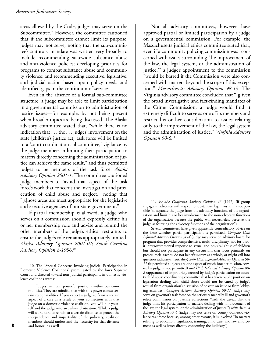areas allowed by the Code, judges may serve on the Subcommittee." However, the committee cautioned that if the subcommittee cannot limit its purpose, judges may not serve, noting that the sub-committee's statutory mandate was written very broadly to include recommending statewide substance abuse and anti-violence policies; developing priorities for programs to combat substance abuse and community violence; and recommending executive, legislative, and judicial action based upon policy needs and identified gaps in the continuum of services.

Even in the absence of a formal sub-committee structure, a judge may be able to limit participation in a governmental commission to administration of justice issues—for example, by not being present when broader topics are being discussed. The Alaska advisory committee stated that, "while there is no indication that . . . the . . . judges' involvement on the state [children's justice act] task force will be limited to a 'court coordination subcommittee,' vigilance by the judge members in limiting their participation to matters directly concerning the administration of justice can achieve the same result," and thus permitted judges to be members of the task force. *Alaska Advisory Opinion 2001-1*. The committee cautioned judge members to "avoid that aspect of the task force's work that concerns the investigation and prosecution of child abuse and neglect," noting that "[t]hose areas are most appropriate for the legislative and executive agencies of our state government."

If partial membership is allowed, a judge who serves on a commission should expressly define his or her membership role and advise and remind the other members of the judge's ethical restraints to ensure the judge's role remains appropriately limited. *Alaska Advisory Opinion 2001-01*; *South Carolina Advisory Opinion 8-1996*. 10

Judges maintain powerful positions within our communities. They are mindful that with this power comes certain responsibilities. If you expect a judge to favor a certain aspect of a case as a result of your connection with that judge on a domestic violence coalition, you will put yourself and the judge into an awkward situation. While a judge will work hard to remain at a certain distance to protect the independence and impartiality of the judiciary, coalition members should understand the necessity for that distance and honor it as well.

Not all advisory committees, however, have approved partial or limited participation by a judge on a governmental commission. For example, the Massachusetts judicial ethics committee stated that, even if a community policing commission was "concerned with issues surrounding 'the improvement of the law, the legal system, or the administration of justice,'" a judge's appointment to the commission "would be barred if the Commission were also concerned with matters beyond the scope of this exception." *Massachusetts Advisory Opinion 98-13*. The Virginia advisory committee concluded that "[g]iven the broad investigative and fact-finding mandates of the Crime Commission, a judge would find it extremely difficult to serve as one of its members and restrict his or her consideration to issues relating only to the improvement of the law, the legal system and the administration of justice." *Virginia Advisory* Opinion 00-6.<sup>11</sup>

11. *See also California Advisory Opinion 46* (1997) (if group engages in advocacy with respect to substantive legal issues, it is not possible "to separate the judge from the advocacy functions of the organization and limit his or her involvement to the non-advocacy functions of the organization because the public will nevertheless perceive the judge as fostering the advocacy functions of the organization").

Several committees have given apparently contradictory advice on the issue whether partial participation is permitted. *Compare Utah Informal Advisory Opinion 98-4* (judge may serve on advisory board for program that provides comprehensive, multi-disciplinary, not-for-profit intergovernmental response to sexual and physical abuse of children but should not participate in any discussions that focus primarily on prosecutorial tactics, do not benefit system as a whole, or might call into question judiciary's neutrality) *with Utah Informal Advisory Opinion 98- 11* (if permitted subjects are one aspect of much broader mission, service by judge is not permitted) *and Utah Informal Advisory Opinion 88- 2* (appearance of impropriety created by judge's participation on county child abuse coordinating committee that has taken public position on legislation dealing with child abuse would not be cured by judge's recusal from organization's discussion of or vote on issue or from lobbying activities). *Compare Arizona Advisory Opinion 90-11* (judge may serve on governor's task force on the seriously mentally ill and governor's select commission on juvenile corrections "with the caveat that the judge limit his participation to matters dealing with 'improvement of the law, the legal system, or the administration of justice'") *with Arizona Advisory Opinion 97-6* (judge may not serve on county domestic violence task force because, among other reasons, it is involved "in matters relating to education, legislation, training, child care, and law enforcement as well as issues directly concerning the judiciary").

<sup>10.</sup> The "Special Concerns Involving Judicial Participation in Domestic Violence Coalitions" promulgated by the Iowa Supreme Court and directed toward non-judicial participants in domestic violence coalitions warns: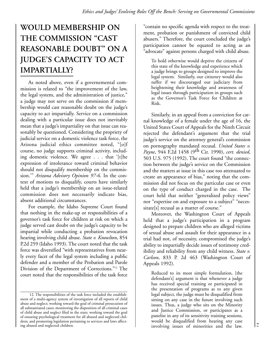# **WOULD MEMBERSHIP ON THE COMMISSION "CAST REASONABLE DOUBT" ON A JUDGE'S CAPACITY TO ACT IMPARTIALLY?**

As noted above, even if a governemental commission is related to "the improvement of the law, the legal system, and the administration of justice," a judge may not serve on the commission if membership would cast reasonable doubt on the judge's capacity to act impartially. Service on a commission dealing with a particular issue does not inevitably mean that a judge's impartiality on that issue can reasonably be questioned. Considering the propriety of judicial service on a domestic violence task force, the Arizona judicial ethics committee noted, "[o]f course, no judge supports criminal activity, including domestic violence. We agree . . . that '[t]he expression of intolerance toward criminal behavior should not disqualify membership on the commission.'" *Arizona Advisory Opinion 97-6*. In the context of motions to disqualify, courts have similarly held that a judge's membership on an issue-related commission does not necessarily indicate bias, absent additional circumstances.

For example, the Idaho Supreme Court found that nothing in the make-up or responsibilities of a governor's task force for children at risk on which a judge served cast doubt on the judge's capacity to be impartial while conducting a probation revocation hearing involving child abuse. *State v. Knowlton*, 854 P.2d 259 (Idaho 1993). The court noted that the task force was diversified "with representatives from nearly every facet of the legal system including a public defender and a member of the Probation and Parole Division of the Department of Corrections."12 The court noted that the responsibilities of the task force

"contain no specific agenda with respect to the treatment, probation or punishment of convicted child abusers." Therefore, the court concluded the judge's participation cannot be equated to acting as an "advocate" against persons charged with child abuse.

To hold otherwise would deprive the citizens of this state of the knowledge and experience which a judge brings to groups designed to improve the legal system. Similarly, our citizenry would also suffer if we discouraged our judiciary from heightening their knowledge and awareness of legal issues through participation in groups such as the Governor's Task Force for Children at Risk.

Similarly, in an appeal from a conviction for carnal knowledge of a female under the age of 16, the United States Court of Appeals for the Ninth Circuit rejected the defendant's argument that the trial judge's service on the attorney general's commission on pornography mandated recusal. *United States v. Payne*, 944 F.2d 1458 (9th Cir. 1990), *cert. denied*, 503 U.S. 975 (1992). The court found "the connection between the judge's service on the Commission and the matters at issue in this case too attenuated to create an appearance of bias," noting that the commission did not focus on the particular case or even on the type of conduct charged in the case. The court held that neither "generalized policy views" nor "expertise on and exposure to a subject" "necessitate[s] recusal as a matter of course."

Moreover, the Washington Court of Appeals held that a judge's participation in a program designed to prepare children who are alleged victims of sexual abuse and assault for their appearance in a trial had not, of necessity, compromised the judge's ability to impartially decide issues of testimony credibility and reliability from any child witness. *State v. Carlson*, 833 P. 2d 463 (Washington Court of Appeals 1992).

Reduced to its most simple formulation, [the defendant's] argument is that whenever a judge has received special training or participated in the presentation of programs as to any given legal subject, the judge must be disqualified from sitting on any case in the future involving such issues. Thus, a judge who sits on the Minority and Justice Commission, or participates as a panelist in any of its sensitivity training sessions, would be disqualified from hearing any case involving issues of minorities and the law. **7**

<sup>12.</sup> The responsibilities of the task force included the establishment of a multi-agency system of investigation of all reports of child abuse and neglect; working toward the goal of criminal prosecution of all substantiated cases; monitoring the disposition of all criminal cases of child abuse and neglect filed in the state; working toward the goal of ensuring psychological treatment for all abused and neglected children; and promoting legislation pertaining to services and laws affecting abused and neglected children.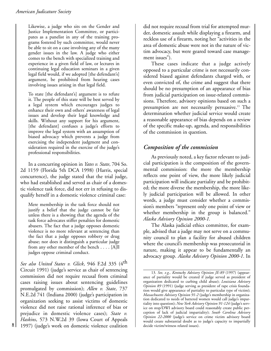Likewise, a judge who sits on the Gender and Justice Implementation Committee, or participates as a panelist in any of the training programs fostered by such committee, would never be able to sit on a case involving any of the many gender issues in the law. A judge who either comes to the bench with specialized training and experience in a given field of law, or lectures in continuing legal education seminars in a given legal field would, if we adopted [the defendant's] argument, be prohibited from hearing cases involving issues arising in that legal field.

To state [the defendant's] argument is to refute it. The people of this state will be best served by a legal system which encourages judges to enhance their own and others' awareness of legal issues and develop their legal knowledge and skills. Without any support for his argument, [the defendant] confuses a judge's efforts to improve the legal system with an assumption of biased advocacy which prevents a judge from exercising the independent judgment and consideration required in the exercise of the judge's professional responsibilities.

In a concurring opinion in *Yates v. State*, 704 So. 2d 1159 (Florida 5th DCA 1998) (Harris, special concurrence), the judge stated that the trial judge, who had established and served as chair of a domestic violence task force, did not err in refusing to disqualify herself in a domestic violence criminal case:

Mere membership in the task force should not justify a belief that the judge cannot be fair unless there is a showing that the agenda of the task force advocates stiffer penalties for domestic abusers. The fact that a judge opposes domestic violence is no more relevant at sentencing than the fact that a judge opposes robbery or drug abuse; nor does it distinguish a particular judge from any other member of the bench . . . . [A]ll judges oppose criminal conduct.

*See also United States v. Glick*, 946 F.2d 335 (4th Circuit 1991) (judge's service as chair of sentencing commission did not require recusal from criminal cases raising issues about sentencing guidelines promulgated by commission); *Allen v. State*, 737 N.E.2d 741 (Indiana 2000) (judge's participation in organization seeking to assist victims of domestic violence did not raise rational inference of bias or prejudice in domestic violence cases); *State v. Haskins*, 573 N.W.2d 39 (Iowa Court of Appeals 1997) (judge's work on domestic violence coalition **8**

did not require recusal from trial for attempted murder, domestic assault while displaying a firearm, and reckless use of a firearm, noting her "activities in the area of domestic abuse were not in the nature of victim advocacy, but were geared toward case management issues").

These cases indicate that a judge actively opposed to a particular crime is not necessarily considered biased against defendants charged with, or even convicted of, the crime and suggest that there should be no presumption of an appearance of bias from judicial participation on issue-related commissions. Therefore, advisory opinions based on such a presumption are not necessarily persuasive.<sup>13</sup> The determination whether judicial service would create a reasonable appearance of bias depends on a review of the specific make-up, agenda, and responsibilities of the commission in question.

#### *Composition of the commission*

As previously noted, a key factor relevant to judicial participation is the composition of the governmental commission: the more the membership reflects one point of view, the more likely judicial participation will indicate partiality and be prohibited; the more diverse the membership, the more likely judicial participation will be allowed. In other words, a judge must consider whether a commission's members "represent only one point of view or whether membership in the group is balanced." *Alaska Advisory Opinion 2000-1.*

The Alaska judicial ethics committee, for example, advised that a judge may not serve on a community council to plan a facility for abused children where the council's membership was prosecutorial in nature, making it appear to be fundamentally an advocacy group. *Alaska Advisory Opinion 2000-1*. In

<sup>13.</sup> *See, e.g., Kentucky Advisory Opinion JE-89* (1997) (appearance of partiality would be created if judge served as president of organization dedicated to curbing child abuse); *Louisiana Advisory Opinion 89* (1991) (judge serving as president of rape crisis foundation would give appearance of partiality to particular type of victim); *Massachusetts Advisory Opinion 91-2* (judge's membership in organization dedicated to needs of battered women would call judge's impartiality into question); *New York Advisory Opinion 91-124* (judge's service on stop/DWI advisory board could reasonably create public perception of lack of judicial impartiality); *South Carolina Advisory Opinion 22-2000* (judge's service on crime victim advisory board would create substantial doubt as to judge's capacity to impartially decide victim/witness related issues).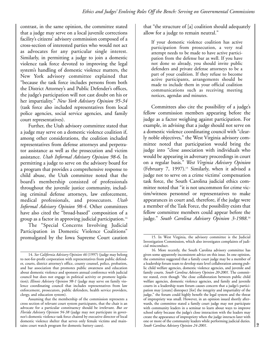contrast, in the same opinion, the committee stated that a judge may serve on a local juvenile corrections facility's citizens' advisory commission composed of a cross-section of interested parties who would not act as advocates for any particular single interest. Similarly, in permitting a judge to join a domestic violence task force devoted to improving the legal system's handling of domestic violence matters, the New York advisory committee explained that "because the task force includes persons from both the District Attorney's and Public Defender's offices, the judge's participation will not cast doubt on his or her impartiality." *New York Advisory Opinion 95-34* (task force also included representatives from local police agencies, social service agencies, and family court representatives).

Further, the Utah advisory committee stated that a judge may serve on a domestic violence coalition if, among other considerations, the coalition included representatives from defense attorneys and perpetrator assistance as well as the prosecution and victim assistance. *Utah Informal Advisory Opinion 98-6*. In permitting a judge to serve on the advisory board for a program that provides a comprehensive response to child abuse, the Utah committee noted that the board's membership consisted of professionals throughout the juvenile justice community, including criminal defense attorneys, law enforcement, medical professionals, and prosecutors. *Utah Informal Advisory Opinion 98-4*. Other committees have also cited the "broad-based" composition of a group as a factor in approving judicial participation.14

The "Special Concerns Involving Judicial Participation in Domestic Violence Coalitions" promulgated by the Iowa Supreme Court caution that "the structure of [a] coalition should adequately allow for a judge to remain neutral."

If your domestic violence coalition has active participation from prosecution, a very real attempt needs to be made to have active participation from the defense bar as well. If you have not done so already, you should invite public defenders and private defense attorneys to be a part of your coalition. If they refuse to become active participants, arrangements should be made to include them in your official coalition communications such as receiving meeting notices, agendas and minutes.

Committees also cite the possibility of a judge's fellow commission members appearing before the judge as a factor weighing against participation. For example, in advising that a judge should not serve on a domestic violence coordinating council with "clearly noble objectives," the West Virginia advisory committee noted that participation would bring the judge into "close association with individuals who would be appearing in adversary proceedings in court on a regular basis." *West Virginia Advisory Opinion* (February 7, 1997).<sup>15</sup> Similarly, when it advised a judge not to serve on a crime victims' compensation task force, the South Carolina judicial ethics committee noted that "it is not uncommon for crime victim/witness personnel or representatives to make appearances in court and, therefore, if the judge were a member of the Task Force, the possibility exists that fellow committee members could appear before the judge." *South Carolina Advisory Opinion 3-1988*. 16

<sup>14.</sup> *See California Advisory Opinion 46* (1997) (judge may belong to not-for-profit corporation with representatives from public defender, courts, district attorney's office, county counsel, police, probation, and bar association that promotes public awareness and education about domestic violence and sponsors annual conference with judicial council but does not engage in political activity or promote legislation); *Illinois Advisory Opinion 98-1* (judge may serve on family violence coordinating council that includes representatives from law enforcement, prosecutors, public defenders, health service providers, clergy, and education system).

Assuming that the membership of the commission represents a cross section of relevant court system participants, that the chair is an advocate for a particular constituency should be irrelevant. *But see Florida Advisory Opinion 94-38* (judge may not participate in governor's domestic violence task force chaired by executive director of local domestic violence shelter that serves only female victims and maintains court watch program for domestic battery cases).

<sup>15.</sup> In West Virginia, the advisory committee is the Judicial Investigation Commission, which also investigates complaints of judicial misconduct.

<sup>16.</sup> More recently, the South Carolina advisory committee has given some apparently inconsistent advice on this issue. In one opinion, the committee suggested that a family court judge may be a member of a leadership forum team to develop state level collaboration among public child welfare agencies, domestic violence agencies, and juvenile and family courts. *South Carolina Advisory Opinion 20-2001*. The committee stated, even though "the close collaboration between public child welfare agencies, domestic violence agencies, and family and juvenile courts in a leadership team forum causes concern that a judge's participation may [create] disrespect [for] the integrity and impartiality of the judge," the forum could highly benefit the legal system and the threat of impropriety was small. However, in an opinion issued shortly afterwards, the committee stated a family court judge may not participate with community leaders in a seminar to learn about ways to improve school safety because the judge's close interaction with the leaders may create the appearance of impropriety when the judge interacts later with one or more of the community leaders while performing judicial duties. *South Carolina Advisory Opinion 24-2001*.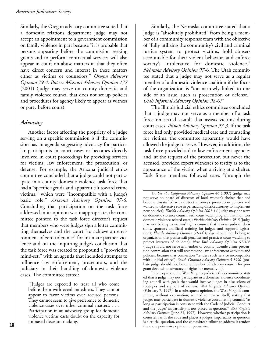Similarly, the Oregon advisory committee stated that a domestic relations department judge may not accept an appointment to a government commission on family violence in part because "it is probable that persons appearing before the commission seeking grants and to perform contractual services will also appear in court on abuse matters in that they often have direct concern and interest in these matters either as victims or counselors." *Oregon Advisory Opinion 79-4*. *But see Missouri Advisory Opinion 177* (2001) (judge may serve on county domestic and family violence council that does not set up policies and procedures for agency likely to appear as witness or party before court).

#### *Advocacy*

Another factor affecting the propriety of a judge serving on a specific commission is if the commission has an agenda suggesting advocacy for particular participants in court cases or becomes directly involved in court proceedings by providing services for victims, law enforcement, the prosecution, or defense. For example, the Arizona judicial ethics committee concluded that a judge could not participate in a county domestic violence task force that had a "specific agenda and apparent tilt toward crime victims," which were "incompatible with a judge's basic role." *Arizona Advisory Opinion 97-6*. Concluding that participation on the task force addressed in its opinion was inappropriate, the committee pointed to the task force director's request that members who were judges sign a letter committing themselves and the court "to achieve an environment of zero tolerance" for intimate partner violence and on the inquiring judge's conclusion that the task force was created to propound a "pro-victim mind-set," with an agenda that included attempts to influence law enforcement, prosecutors, and the judiciary in their handling of domestic violence cases. The committee stated:

[J]udges are expected to treat all who come before them with evenhandedness. They cannot appear to favor victims over accused persons. They cannot seem to give preference to domestic violence cases over other criminal matters. . . . Participation in an advocacy group for domestic violence victims casts doubt on the capacity for unbiased decision making.

Similarly, the Nebraska committee stated that a judge is "absolutely prohibited" from being a member of a community response team with the objective of "fully utilizing the community's civil and criminal justice system to protect victims, hold abusers accountable for their violent behavior, and enforce society's intolerance for domestic violence." *Nebraska Advisory Opinion 97-6.* The Utah committee stated that a judge may not serve as a regular member of a domestic violence coalition if the focus of the organization is "too narrowly linked to one side of an issue, such as prosecution or defense." *Utah Informal Advisory Opinion 98-6*. 17

The Illinois judicial ethics committee concluded that a judge may not serve as a member of a task force on sexual assault that assists victims during court cases. *Illinois Advisory Opinion 97-3*. If the task force had only provided medical care and counseling for victims, the committee apparently would have allowed the judge to serve. However, in addition, the task force provided aid to law enforcement agencies and, at the request of the prosecutor, but never the accused, provided expert witnesses to testify as to the appearance of the victim when arriving at a shelter. Task force members followed cases "through the

17. *See also California Advisory Opinion 46* (1997) (judge may not serve on board of directors of local women's shelter that had become dissatisfied with district attorney's prosecution policies and wanted to take active role in persuading district attorney to implement new policies); *Florida Advisory Opinion 2001-14* (judge may not serve on domestic violence council with court watch program that monitors domestic violence-related cases); *Florida Advisory Opinion 98-8* (judge may not belong to victims' rights council that reviews judicial decisions, sponsors unofficial training for judges, and supports legislation); *Florida Advisory Opinion 91-14* (judge should not belong to organization that pushes stiff penalties and practices court watching to protect interests of children); *New York Advisory Opinion 97-108* (judge should not serve as member of county juvenile crime prevention commission that will recommend law enforcement activities and policies, because that connection "renders such service incompatible with judicial office"); *South Carolina Advisory Opinion 3-1990* (probate judge should not become member of advisory council for program devoted to advocacy of rights for mentally ill).

In one opinion, the West Virginia judicial ethics committee stated that a judge may not participate in a domestic violence coordinating council with goals that would involve judges in discussions of strategies and support of victims. *West Virginia Advisory Opinion* (February 7, 1997). In a subsequent opinion, the West Virginia committee, without explanation, seemed to reverse itself, stating that judges may participate in domestic violence coordinating councils "as long as participation is consistent with the Code of Judicial Conduct and the judges' impartiality is not placed in question." *West Virginia Advisory Opinion* (June 23, 1997). However, whether participation is consistent with the code and places a judge's impartiality in question is a crucial question, and the committee's failure to address it renders the more permissive opinion unpersuasive.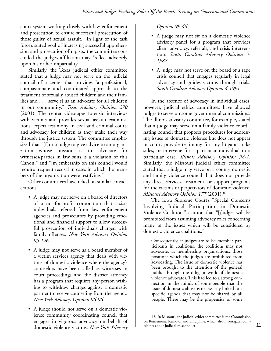court system working closely with law enforcement and prosecution to ensure successful prosecution of those guilty of sexual assault." In light of the task force's stated goal of increasing successful apprehension and prosecution of rapists, the committee concluded the judge's affiliation may "reflect adversely upon his or her impartiality."

Similarly, the Texas judicial ethics committee stated that a judge may not serve on the judicial council of a center that provides "a professional, compassionate and coordinated approach to the treatment of sexually abused children and their families and . . . serve[s] as an advocate for all children in our community." *Texas Advisory Opinion 270* (2001). The center videotapes forensic interviews with victims and provides sexual assault examinations, expert testimony in civil and criminal court, and advocacy for children as they make their way through the justice system. The committee emphasized that "[f]or a judge to give advice to an organization whose mission is to advocate for witnesses/parties in law suits is a violation of this Canon," and "[m]embership on this council would require frequent recusal in cases in which the members of the organization were testifying."

Other committees have relied on similar considerations.

- A judge may not serve on a board of directors of a not-for-profit corporation that assists individuals referred from law enforcement agencies and prosecutors by providing emotional and financial support to allow successful prosecution of individuals charged with family offenses. *New York Advisory Opinion 95-126.*
- A judge may not serve as a board member of a victim services agency that deals with victims of domestic violence where the agency's counselors have been called as witnesses in court proceedings and the district attorney has a program that requires any person wishing to withdraw charges against a domestic partner to receive counseling from the agency. *New York Advisory Opinion 96-96.*
- A judge should not serve on a domestic violence community coordinating council that engages in vigorous advocacy on behalf of domestic violence victims. *New York Advisory*

*Opinion 99-46.*

- A judge may not sit on a domestic violence advisory panel for a program that provides client advocacy, referrals, and crisis intervention. *South Carolina Advisory Opinion 3- 1987.*
- A judge may not serve on the board of a rape crisis council that engages regularly in legal advocacy and guides victims through trials. *South Carolina Advisory Opinion 4-1991.*

In the absence of advocacy in individual cases, however, judicial ethics committees have allowed judges to serve on some governmental commissions. The Illinois advisory committee, for example, stated that a judge may serve on a family violence coordinating council that proposes procedures for addressing issues of domestic violence but does not appear in court, provide testimony for any litigants, take sides, or intervene for a particular individual in a particular case. *Illinois Advisory Opinion 98-1*. Similarly, the Missouri judicial ethics committee stated that a judge may serve on a county domestic and family violence council that does not provide any direct services, treatment, or support programs for the victims or perpetrators of domestic violence. *Missouri Advisory Opinion 177* (2001).18

The Iowa Supreme Court's "Special Concerns Involving Judicial Participation in Domestic Violence Coalitions" caution that "[j]udges will be prohibited from assuming advocacy roles concerning many of the issues which will be considered by domestic violence coalitions."

Consequently, if judges are to be member participants in coalitions, the coalitions may not advocate, as membership organizations, those positions which the judges are prohibited from advocating. The issue of domestic violence has been brought to the attention of the general public through the diligent work of domestic violence advocates. This had led to a strong connection in the minds of some people that the issue of domestic abuse is necessarily linked to a specific agenda that may not be shared by all people. There may be the propensity of some

<sup>18.</sup> In Missouri, the judicial ethics committee is the Commission on Retirement, Removal and Discipline, which also investigates complaints about judicial misconduct.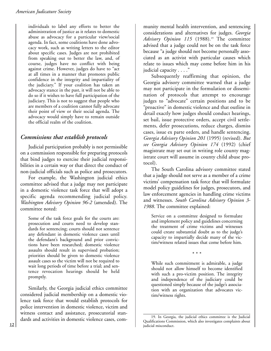individuals to label any efforts to better the administration of justice as it relates to domestic abuse as advocacy for a particular view/social agenda. In fact, some coalitions have done advocacy work, such as writing letters to the editor about specific cases. Judges are not prohibited from speaking out to better the law, and, of course, judges have no conflict with being against crime. However, judges do have to "act at all times in a manner that promotes public confidence in the integrity and impartiality of the judiciary." If your coalition has taken an advocacy stance in the past, it will not be able to do so if it wishes to have full participation of the judiciary. This is not to suggest that people who are members of a coalition cannot fully advocate their point of view or their social agenda. The advocacy would simply have to remain outside the official realm of the coalition.

#### *Commissions that establish protocols*

Judicial participation probably is not permissible on a commission responsible for preparing protocols that bind judges to exercise their judicial responsibilities in a certain way or that direct the conduct of non-judicial officials such as police and prosecutors.

For example, the Washington judicial ethics committee advised that a judge may not participate in a domestic violence task force that will adopt a specific agenda recommending judicial policy. *Washington Advisory Opinion 96-2* (amended). The committee noted:

Some of the task force goals for the courts are: prosecution and courts need to develop standards for sentencing; courts should not sentence any defendant in domestic violence cases until the defendant's background and prior convictions have been researched; domestic violence assaults should result in supervised probation; priorities should be given to domestic violence assault cases so the victim will not be required to wait long periods of time before a trial; and sentence revocation hearings should be held promptly.

Similarly, the Georgia judicial ethics committee considered judicial membership on a domestic violence task force that would establish protocols for police intervention in domestic violence, victim and witness contact and assistance, prosecutorial standards and activities in domestic violence cases, com-

munity mental health intervention, and sentencing considerations and alternatives for judges. *Georgia* Advisory Opinion 115 (1988).<sup>19</sup> The committee advised that a judge could not be on the task force because "a judge should not become personally associated as an activist with particular causes which relate to issues which may come before him in his judicial capacity . . . ."

Subsequently reaffirming that opinion, the Georgia advisory committee warned that a judge may not participate in the formulation or dissemination of protocols that attempt to encourage judges to "advocate" certain positions and to be "proactive" in domestic violence and that outline in detail exactly how judges should conduct hearings, set bail, issue protective orders, accept civil settlements, defer prosecutions, reduce charges, dismiss cases, issue ex parte orders, and handle sentencing. *Georgia Advisory Opinion 201* (1995) (revised). *But see Georgia Advisory Opinion 174* (1992) (chief magistrate may set out in writing role county magistrate court will assume in county child abuse protocol).

The South Carolina advisory committee stated that a judge should not serve as a member of a crime victims' compensation task force that will formulate model policy guidelines for judges, prosecutors, and law enforcement agencies in handling crime victims and witnesses. *South Carolina Advisory Opinion 3- 1988*. The committee explained:

Service on a committee designed to formulate and implement policy and guidelines concerning the treatment of crime victims and witnesses could create substantial doubt as to the judge's capacity to impartially decide many of the victim/witness related issues that come before him.

\* \* \*

While such commitment is admirable, a judge should not allow himself to become identified with such a pro-victim position. The integrity and independence of the judiciary could be questioned simply because of the judge's association with an organization that advocates victim/witness rights.

<sup>19.</sup> In Georgia, the judicial ethics committee is the Judicial Qualifications Commission, which also investigates complaints about judicial misconduct.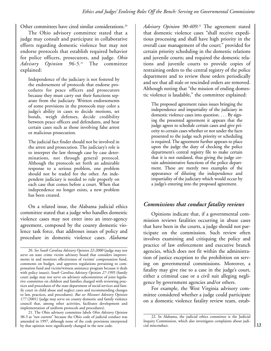Other committees have cited similar considerations.<sup>20</sup>

The Ohio advisory committee stated that a judge may consult and participate in collaborative efforts regarding domestic violence but may not endorse protocols that establish required behavior for police officers, prosecutors, and judge. *Ohio Advisory Opinion 96-5*. <sup>21</sup> The committee explained:

Independence of the judiciary is not fostered by the endorsement of protocols that endorse procedures for peace officers and prosecutors because they must carry out their functions separate from the judiciary. Written endorsements of some provisions in the protocols may color a judge's ability in cases to decide motions, set bonds, weigh defenses, decide credibility between peace officers and defendants, and hear certain cases such as those involving false arrest or malicious prosecution.

The judicial fact finder should not be involved in the arrest and prosecution. The judiciary's role is to interpret the law through case by case determinations, not through general protocol. Although the protocols set forth an admirable response to a serious problem, one problem should not be traded for the other. An independent judiciary is needed to rule properly on each case that comes before a court. When that independence no longer exists, a new problem has been created.

On a related issue, the Alabama judicial ethics committee stated that a judge who handles domestic violence cases may not enter into an inter-agency agreement, composed by the county domestic violence task force, that addresses issues of policy and procedure in domestic violence cases. *Alabama*

21. The Ohio advisory committee labels *Ohio Advisory Opinion 96-5* as "not current" because the Ohio code of judicial conduct was amended in 1997, although none of the code provisions interpreted by that opinion were significantly changed in the new code.

*Advisory Opinion 90-409*. <sup>22</sup> The agreement stated that domestic violence cases "shall receive expeditious processing and shall have high priority in the overall case management of the court;" provided for certain priority scheduling in the domestic relations and juvenile courts; and required the domestic relations and juvenile courts to provide copies of restraining orders to the central registry of the police department and to review these orders periodically and see that all stale or rescinded orders are removed. Although noting that "the mission of ending domestic violence is laudable," the committee explained:

The proposed agreement raises issues bringing the independence and impartiality of the judiciary in domestic violence cases into question. . . . By signing the presented agreement it appears that the judge agrees to schedule certain cases and give priority to certain cases whether or not under the facts presented to the judge such priority or scheduling is required. The agreement further appears to place upon the judge the duty of checking the police department's central registry file to make certain that it is not outdated, thus giving the judge certain administrative functions of the police department. These are merely two examples of the appearance of diluting the independence and impartiality of the judiciary which would occur by a judge's entering into the proposed agreement.

#### *Commissions that conduct fatality reviews*

Opinions indicate that, if a governmental commission reviews fatalities occurring in abuse cases that have been in the courts, a judge should not participate on the commission. Such review often involves examining and critiquing the policy and practice of law enforcement and executive branch agencies, which does not fit within the administration of justice exception to the prohibition on serving on governmental commissions. Moreover, a fatality may give rise to a case in the judge's court, either a criminal case or a civil suit alleging negligence by government agencies and/or others.

For example, the West Virginia advisory committee considered whether a judge could participate on a domestic violence fatality review team, estab-

<sup>20.</sup> *See South Carolina Advisory Opinion 22-2000* (judge may not serve on state crime victim advisory board that considers improvements in and monitors effectiveness of victims' compensation fund, comments on budget, and approves regulations pertaining to compensation fund and victim/witness assistance program because it deals with policy issues); *South Carolina Advisory Opinion 27-1995* (family court judge may not serve on advisory subcommittee of joint legislative committee on children and families charged with reviewing practices and procedures of the state department of social services and family court in child abuse and neglect cases and recommending changes to law, practices, and procedures). *But see Missouri Advisory Opinion 177* (2001) (judge may serve on county domestic and family violence council that, among other activities, facilitates development and implementation of uniform protocols and procedures).

<sup>22.</sup> In Alabama, the judicial ethics committee is the Judicial Inquiry Commission, which also investigates complaints about judicial misconduct.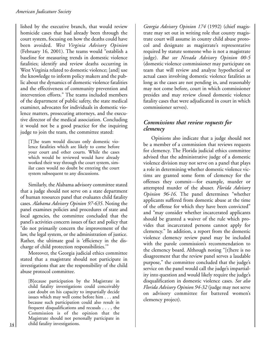lished by the executive branch, that would review homicide cases that had already been through the court system, focusing on how the deaths could have been avoided. *West Virginia Advisory Opinion* (February 16, 2001). The teams would "establish a baseline for measuring trends in domestic violence fatalities; identify and review deaths occurring in West Virginia related to domestic violence; [and] use the knowledge to inform policy makers and the public about the dynamics of domestic violence fatalities and the effectiveness of community prevention and intervention efforts." The teams included members of the department of public safety, the state medical examiner, advocates for individuals in domestic violence matters, prosecuting attorneys, and the executive director of the medical association. Concluding it would not be a good practice for the inquiring judge to join the team, the committee stated:

[T]he team would discuss only domestic violence fatalities which are likely to come before your court and other courts. While the cases which would be reviewed would have already worked their way through the court system, similar cases would no doubt be entering the court system subsequent to any discussions.

Similarly, the Alabama advisory committee stated that a judge should not serve on a state department of human resources panel that evaluates child fatality cases. *Alabama Advisory Opinion 97-635*. Noting the panel examines policies and procedures of state and local agencies, the committee concluded that the panel's activities concern issues of fact and policy that "do not primarily concern the improvement of the law, the legal system, or the administration of justice. Rather, the ultimate goal is 'efficiency in the discharge of child protection responsibilities.'"

Moreover, the Georgia judicial ethics committee stated that a magistrate should not participate in investigations that are the responsibility of the child abuse protocol committee.

[B]ecause participation by the Magistrate in child fatality investigations could conceivably cast doubt on his capacity to impartially decide issues which may well come before him . . . and because such participation could also result in frequent disqualifications and recusals . . . , the Commission is of the opinion that the Magistrate should not personally participate in child fatality investigations.

*Georgia Advisory Opinion 174* (1992) (chief magistrate may set out in writing role that county magistrate court will assume in county child abuse protocol and designate as magistrate's representative required by statute someone who is not a magistrate judge). *But see Nevada Advisory Opinion 00-5* (domestic violence commissioner may participate on team that will review and analyze hypothetical or actual cases involving domestic violence fatalities as long as the cases are not pending in, and reasonably may not come before, court in which commissioner presides and may review closed domestic violence fatality cases that were adjudicated in court in which commissioner serves).

#### *Commissions that review requests for clemency*

Opinions also indicate that a judge should not be a member of a commission that reviews requests for clemency. The Florida judicial ethics committee advised that the administrative judge of a domestic violence division may not serve on a panel that plays a role in determining whether domestic violence victims are granted some form of clemency for the offenses they commit—for example, murder or attempted murder of the abuser. *Florida Advisory Opinion 96-16*. The panel determines "whether applicants suffered from domestic abuse at the time of the offense for which they have been convicted" and "may consider whether incarcerated applicants should be granted a waiver of the rule which provides that incarcerated persons cannot apply for clemency." In addition, a report from the domestic violence clemency review panel may be included with the parole commission's recommendation to the clemency board. Although noting "[t]here is no disagreement that the review panel serves a laudable purpose," the committee concluded that the judge's service on the panel would call the judge's impartiality into question and would likely require the judge's disqualification in domestic violence cases. *See also Florida Advisory Opinion 94-32* (judge may not serve on advisory committee for battered women's clemency project).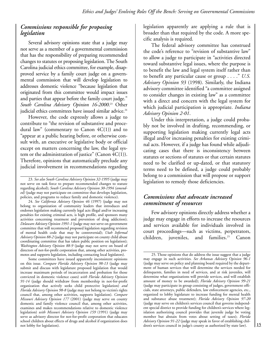#### *Commissions responsible for proposing legislation*

Several advisory opinions state that a judge may not serve as a member of a governmental commission that has the responsibility of preparing recommended changes to statutes or proposing legislation. The South Carolina judicial ethics committee, for example, disapproved service by a family court judge on a governmental commission that will develop legislation to addresses domestic violence "because legislation that originated from this committee would impact issues and parties that appear before the family court judge." *South Carolina Advisory Opinion 16-2000*. <sup>23</sup> Other judicial ethics committees have issued similar advice.<sup>24</sup>

However, the code expressly allows a judge to contribute to "the revision of substantive and procedural law" (commentary to Canon  $4C(1)$ ) and to "appear at a public hearing before, or otherwise consult with, an executive or legislative body or official except on matters concerning the law, the legal system or the administration of justice" (Canon  $4C(1)$ ). Therefore, opinions that automatically preclude any judicial involvement in recommendations regarding

24. *See California Advisory Opinion 46* (1997) (judge may not belong to organization of community leaders that introduces and endorses legislation making currently legal acts illegal and/or increasing penalties for existing criminal acts, is high profile, and sponsors many activities concerning treatment and prevention of drug addiction); *Delaware Advisory Opinion 1991-1* (judge may not serve on government committee that will recommend proposed legislation regarding revision of mental health code that may be controversial); *Utah Informal Advisory Opinion 88-2* (judge may not participate on county child abuse coordinating committee that has taken public position on legislation); *Washington Advisory Opinion 88-9* (judge may not serve on board of directors of not-for-profit corporation that, among other activities, promotes and supports legislation, including contacting local legislators).

Some committees have issued apparently inconsistent opinions on this issue. *Compare Florida Advisory Opinion 98-13* (judge may submit and discuss with legislature proposed legislation that would increase maximum periods of incarceration and probation for those convicted in domestic violence cases) *with Florida Advisory Opinion 91-14* (judge should withdraw from membership in not-for-profit organization that actively seeks child protective legislation) *and Florida Advisory Opinion 98-8* (judge may not belong to victim's rights council that, among other activities, supports legislation). *Compare Missouri Advisory Opinion 177* (2001) (judge may serve on county domestic and family violence council that, among other activities, examines and makes recommendations relative to domestic violence legislation) *with Missouri Advisory Opinion 159* (1991) (judge may serve as advisory director for not-for-profit corporation that educates school children about effects of drugs and alcohol if organization does not lobby for legislation).

legislation apparently are applying a rule that is broader than that required by the code. A more specific analysis is required.

The federal advisory committee has construed the code's reference to "revision of substantive law" to allow a judge to participate in "activities directed toward substantive legal issues, where the purpose is to benefit the law and legal system itself rather than to benefit any particular cause or group . . . ." *U.S. Advisory Opinion 93* (1998). Similarly, the Indiana advisory committee identified "a committee assigned to consider changes in existing law" as a committee with a direct and concern with the legal system for which judicial participation is appropriate. *Indiana Advisory Opinion 2-01*.

Under this interpretation, a judge could probably not be involved in drafting, recommending, or supporting legislation making currently legal acts illegal and/or increasing penalties for existing criminal acts. However, if a judge has found while adjudicating cases that there is inconsistency between statutes or sections of statutes or that certain statutes need to be clarified or up-dated, or that statutory terms need to be defined, a judge could probably belong to a commission that will propose or support legislation to remedy those deficiencies.

#### *Commissions that advocate increased commitment of resources*

Few advisory opinions directly address whether a judge may engage in efforts to increase the resources and services available for individuals involved in court proceedings—such as victims, perpetrators, children, juveniles, and families.<sup>25</sup> Canon

<sup>23.</sup> *See also South Carolina Advisory Opinion 32-1995* (judge may not serve on task force to prepare recommended changes to statute regarding alcohol); *South Carolina Advisory Opinion 30-1994 (amended)* (judge may not participate on committee that develops legislation, policies, and programs to reduce family and domestic violence).

<sup>25.</sup> Those opinions that do address the issue suggest that a judge may engage in such activities. *See Arkansas Advisory Opinion 96-1* (judge may serve on policy and planning board required by the department of human services that will determine the services needed for delinquents, families in need of services, and at risk juveniles, will determine what organizations will provide services, and will establish amount of money to be awarded); *Florida Advisory Opinion 99-21* (judge may participate in group consisting of judges, government officials, state attorneys, public defenders, law enforcement agencies, etc., organized to lobby legislature to increase funding for mental health and substance abuse treatment); *Florida Advisory Opinion 97-20* (judge may serve on children's services council that governs independent special district to provide funding for children's services where legislation authorizing council provides that juvenile judge be voting member but abstain from votes about setting of taxes); *Florida Advisory Opinion 91-22* (judge may speak in favor of establishing children's services council in judge's county as authorized by state law).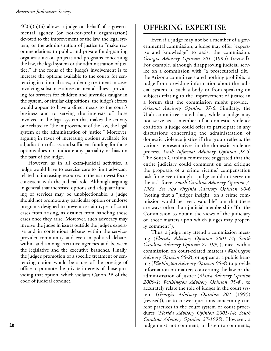$4C(3)(b)(ii)$  allows a judge on behalf of a governmental agency (or not-for-profit organization) devoted to the improvement of the law, the legal system, or the administration of justice to "make recommendations to public and private fund-granting organizations on projects and programs concerning the law, the legal system or the administration of justice." If the focus of the judge's involvement is to increase the options available to the courts for sentencing in criminal cases, ordering treatment in cases involving substance abuse or mental illness, providing for services for children and juveniles caught in the system, or similar dispositions, the judge's efforts would appear to have a direct nexus to the court's business and to serving the interests of those involved in the legal system that makes the activity one related to "the improvement of the law, the legal system or the administration of justice." Moreover, arguing in favor of increasing options available for adjudication of cases and sufficient funding for those options does not indicate any partiality or bias on the part of the judge.

However, as in all extra-judicial activities, a judge would have to exercise care to limit advocacy related to increasing resources to the narrowest focus consistent with the judicial role. Although arguing in general that increased options and adequate funding of services may be unobjectionable, a judge should not promote any particular option or endorse programs designed to prevent certain types of court cases from arising, as distinct from handling those cases once they arise. Moreover, such advocacy may involve the judge in issues outside the judge's expertise and in contentious debates within the serviceprovider community and even in political debates within and among executive agencies and between the legislative and the executive branches. Finally, the judge's promotion of a specific treatment or sentencing option would be a use of the prestige of office to promote the private interests of those providing that option, which violates Canon 2B of the code of judicial conduct.

### **OFFERING EXPERTISE**

Even if a judge may not be a member of a governmental commission, a judge may offer "expertise and knowledge" to assist the commission. *Georgia Advisory Opinion 201* (1995) (revised). For example, although disapproving judicial service on a commission with "a prosecutorial tilt," the Arizona committee stated nothing prohibits "a judge from providing information about the judicial system to such a body or from speaking on subjects relating to the improvement of justice in a forum that the commission might provide." *Arizona Advisory Opinion 97-6*. Similarly, the Utah committee stated that, while a judge may not serve as a member of a domestic violence coalition, a judge could offer to participate in any discussions concerning the administration of domestic violence justice if the group reflects the various representatives in the domestic violence process. *Utah Informal Advisory Opinion 98-6*. The South Carolina committee suggested that the entire judiciary could comment on and critique the proposals of a crime victims' compensation task force even though a judge could not serve on the task force. *South Carolina Advisory Opinion 3- 1988*. *See also Virginia Advisory Opinion 00-6* (noting that a "judge's insight" on a crime commission would be "very valuable" but that there are ways other than judicial membership "for the Commission to obtain the views of the judiciary on those matters upon which judges may properly comment").

Thus, a judge may attend a commission meeting (*Florida Advisory Opinion 2001-14*; *South Carolina Advisory Opinion 27-1995*), meet with a commission on court-related matters (*Washington Advisory Opinion 96-2*), or appear at a public hearing (*Washington Advisory Opinion 95-4*) to provide information on matters concerning the law or the administration of justice (*Alaska Advisory Opinion 2000-1*; *Washington Advisory Opinion 95-4*), to accurately relate the role of judges in the court system (*Georgia Advisory Opinion 201* (1995) (revised)), or to answer questions concerning current practices in the court system or court procedures (*Florida Advisory Opinion 2001-14*; *South Carolina Advisory Opinion 27-1995*). However, a **16** judge must not comment, or listen to comments,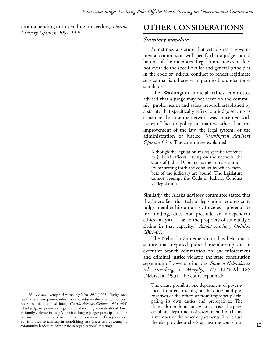about a pending or impending proceeding. *Florida Advisory Opinion 2001-14*.

### <sup>26</sup> **OTHER CONSIDERATIONS**

#### *Statutory mandate*

Sometimes a statute that establishes a governmental commission will specify that a judge should be one of the members. Legislation, however, does not override the specific rules and general principles in the code of judicial conduct to render legitimate service that is otherwise impermissible under those standards.

The Washington judicial ethics committee advised that a judge may not serve on the community public health and safety network established by a statute that specifically refers to a judge serving as a member because the network was concerned with issues of fact or policy on matters other than the improvement of the law, the legal system, or the administration of justice. *Washington Advisory Opinion 95-4*. The committee explained:

Although the legislation makes specific reference to judicial officers serving on the network, the Code of Judicial Conduct is the primary authority for setting forth the conduct by which members of the judiciary are bound. The legislature cannot preempt the Code of Judicial Conduct via legislation.

Similarly, the Alaska advisory committee stated that the "mere fact that federal legislation requires state judge membership on a task force as a prerequisite for funding, does not preclude an independent ethics analysis . . . as to the propriety of state judges sitting in that capacity." *Alaska Advisory Opinion 2001-01*.

The Nebraska Supreme Court has held that a statute that required judicial membership on an executive branch commission on law enforcement and criminal justice violated the state constitution separation of powers principles. *State of Nebraska ex rel. Sternberg, v. Murphy*, 527 N.W.2d 185 (Nebraska 1995). The court explained:

The clause prohibits one department of government from encroaching on the duties and prerogatives of the others or from improperly delegating its own duties and prerogatives. The clause also prohibits one who exercises the powers of one department of government from being a member of the other departments. The clause thereby provides a check against the concentra- **<sup>17</sup>**

<sup>26.</sup> *See also Georgia Advisory Opinion 201* (1995) (judge may teach, speak, and present information to educate the public about purposes and efforts of task force); *Georgia Advisory Opinion 194* (1994) (chief judge may convene organizational meeting to establish task force on family violence in judge's circuit as long as judge's participation does not include rendering advice or sharing opinions on family violence but is limited to assisting in establishing task forces and encouraging community leaders to participate in organizational meeting).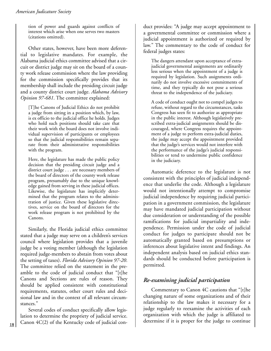tion of power and guards against conflicts of interest which arise when one serves two masters (citations omitted).

Other states, however, have been more deferential to legislative mandates. For example, the Alabama judicial ethics committee advised that a circuit or district judge may sit on the board of a county work release commission where the law providing for the commission specifically provides that its membership shall include the presiding circuit judge and a county district court judge. *Alabama Advisory Opinion 97-681*. The committee explained:

[T]he Canons of Judicial Ethics do not prohibit a judge from sitting in a position which, by law, is ex officio to the judicial office he holds. Judges who hold such positions should take care that their work with the board does not involve individual supervision of participants or employees so that the judicial responsibilities remain separate from their administrative responsibilities with the program.

Here, the legislature has made the public policy decision that the presiding circuit judge and a district court judge . . . are necessary members of the board of directors of the county work release program, presumably due to the unique knowledge gained from serving in these judicial offices. Likewise, the legislature has implicitly determined that the program relates to the administration of justice. Given these legislative directives, service on the board of directors for the work release program is not prohibited by the Canons.

Similarly, the Florida judicial ethics committee stated that a judge may serve on a children's services council where legislation provides that a juvenile judge be a voting member (although the legislation required judge-members to abstain from votes about the setting of taxes). *Florida Advisory Opinion 97-20*. The committee relied on the statement in the preamble to the code of judicial conduct that "[t]he Canons and Sections are rules of reason. They should be applied consistent with constitutional requirements, statutes, other court rules and decisional law and in the context of all relevant circumstances."

Several codes of conduct specifically allow legislation to determine the propriety of judicial service. Canon 4C(2) of the Kentucky code of judicial con-determine if it is proper for the judge to continue **<sup>18</sup>**

duct provides: "A judge may accept appointment to a governmental committee or commission where a judicial appointment is authorized or required by law." The commentary to the code of conduct for federal judges states:

The dangers attendant upon acceptance of extrajudicial governmental assignments are ordinarily less serious when the appointment of a judge is required by legislation. Such assignments ordinarily do not involve excessive commitments of time, and they typically do not pose a serious threat to the independence of the judiciary.

A code of conduct ought not to compel judges to refuse, without regard to the circumstances, tasks Congress has seen fit to authorize as appropriate in the public interest. Although legislatively prescribed extra-judicial assignments should be discouraged, where Congress requires the appointment of a judge to perform extra-judicial duties, the judge may accept the appointment provided that the judge's services would not interfere with the performance of the judge's judicial responsibilities or tend to undermine public confidence in the judiciary.

Automatic deference to the legislature is not consistent with the principles of judicial independence that underlie the code. Although a legislature would not intentionally attempt to compromise judicial independence by requiring judicial participation in a government commission, the legislature may have mandated judicial participation without due consideration or understanding of the possible ramifications for judicial impartiality and independence. Permission under the code of judicial conduct for judges to participate should not be automatically granted based on presumptions or inferences about legislative intent and findings. An independent analysis based on judicial ethics standards should be conducted before participation is permitted.

#### *Re-examining judicial participation*

Commentary to Canon 4C cautions that "[t]he changing nature of some organizations and of their relationship to the law makes it necessary for a judge regularly to reexamine the activities of each organization with which the judge is affiliated to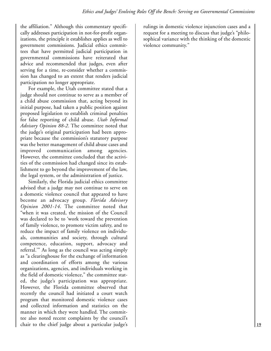the affiliation." Although this commentary specifically addresses participation in not-for-profit organizations, the principle it establishes applies as well to government commissions. Judicial ethics committees that have permitted judicial participation in governmental commissions have reiterated that advice and recommended that judges, even after serving for a time, re-consider whether a commission has changed to an extent that renders judicial participation no longer appropriate.

For example, the Utah committee stated that a judge should not continue to serve as a member of a child abuse commission that, acting beyond its initial purpose, had taken a public position against proposed legislation to establish criminal penalties for false reporting of child abuse. *Utah Informal Advisory Opinion 88-2*. The committee noted that the judge's original participation had been appropriate because the commission's statutory purpose was the better management of child abuse cases and improved communication among agencies. However, the committee concluded that the activities of the commission had changed since its establishment to go beyond the improvement of the law, the legal system, or the administration of justice.

Similarly, the Florida judicial ethics committee advised that a judge may not continue to serve on a domestic violence council that appeared to have become an advocacy group. *Florida Advisory Opinion 2001-14*. The committee noted that "when it was created, the mission of the Council was declared to be to 'work toward the prevention of family violence, to promote victim safety, and to reduce the impact of family violence on individuals, communities and society, through cultural competence, education, support, advocacy and referral.'" As long as the council was acting simply as "a clearinghouse for the exchange of information and coordination of efforts among the various organizations, agencies, and individuals working in the field of domestic violence," the committee stated, the judge's participation was appropriate. However, the Florida committee observed that recently the council had initiated a court watch program that monitored domestic violence cases and collected information and statistics on the manner in which they were handled. The committee also noted recent complaints by the council's chair to the chief judge about a particular judge's rulings in domestic violence injunction cases and a request for a meeting to discuss that judge's "philosophical variance with the thinking of the domestic violence community."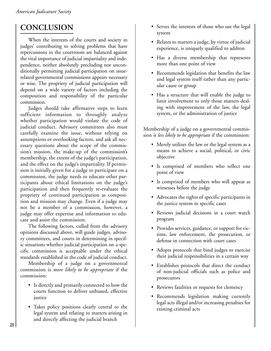### **CONCLUSION**

When the interests of the courts and society in judges' contributing to solving problems that have repercussions in the courtroom are balanced against the vital importance of judicial impartiality and independence, neither absolutely precluding nor unconditionally permitting judicial participation on issuerelated governmental commissions appears necessary or wise. The propriety of judicial participation will depend on a wide variety of factors including the composition and responsibility of the particular commission.

Judges should take affirmative steps to learn sufficient information to throughly analyze whether participation would violate the code of judicial conduct. Advisory committees also must carefully examine the issue, without relying on assumptions or overlooking factors, and ask all necessary questions about the scope of the commission's mission, the make-up of the commission's membership, the extent of the judge's participation, and the effect on the judge's impartiality. If permission is initially given for a judge to participate on a commission, the judge needs to educate other participants about ethical limitations on the judge's participation and then frequently re-evaluate the propriety of continued participation as composition and mission may change. Even if a judge may not be a member of a commission, however, a judge may offer expertise and information to educate and assist the commission.

The following factors, culled from the advisory opinions discussed above, will guide judges, advisory committees, and courts in determining in specific situations whether judicial participation on a specific commission is acceptable under the ethical standards established in the code of judicial conduct.

Membership of a judge on a governmental commission is *more likely to be appropriate* if the commission:

- Is directly and primarily connected to how the courts function to deliver unbiased, effective justice
- Takes policy positions clearly central to the legal system and relating to matters arising in and directly affecting the judicial branch
- Serves the interests of those who use the legal system
- Relates to matters a judge, by virtue of judicial experience, is uniquely qualified to address
- Has a diverse membership that represents more than one point of view
- Recommends legislation that benefits the law and legal system itself rather than any particular cause or group
- Has a structure that will enable the judge to limit involvement to only those matters dealing with improvement of the law, the legal system, or the administration of justice

Membership of a judge on a governmental commission is *less likely to be appropriate* if the commission:

- Merely utilizes the law or the legal system as a means to achieve a social, political, or civic objective
- Is comprised of members who reflect one point of view
- Is comprised of members who will appear as witnesses before the judge
- Advocates the rights of specific participants in the justice system in specific cases
- Reviews judicial decisions in a court watch program
- Provides services, guidance, or support for victims, law enforcement, the prosecution, or defense in connection with court cases
- Adopts protocols that bind judges to exercise their judicial responsibilities in a certain way
- Establishes protocols that direct the conduct of non-judicial officials such as police and prosecutors
- Reviews fatalities or requests for clemency
- Recommends legislation making currently legal acts illegal and/or increasing penalties for existing criminal acts

**20**